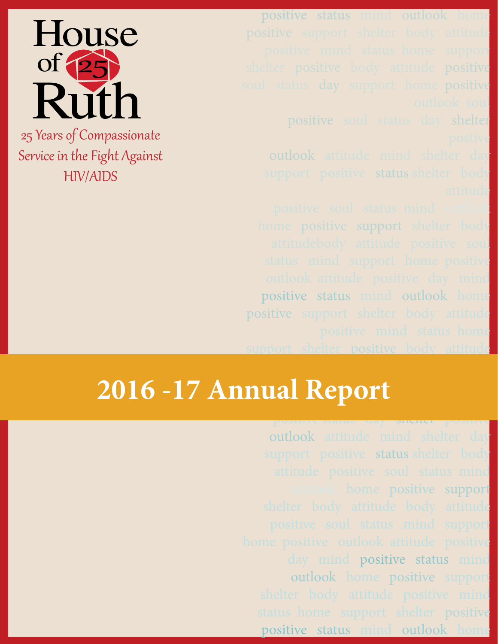positive status mind outlook home

positive soul status day shelter

outlook attitude mind shelter day support positive status shelter body

home positive support shelter body positive status mind outlook home positive support shelter body attitude

# 2016 -17 Annual Report

outlook attitude mind shelter day support positive status shelter body home positive support day mind positive status mind outlook home positive support status home support shelter positive positive status mind outlook home

positive status day shelter positive



Service in the Fight Against **HIV/AIDS**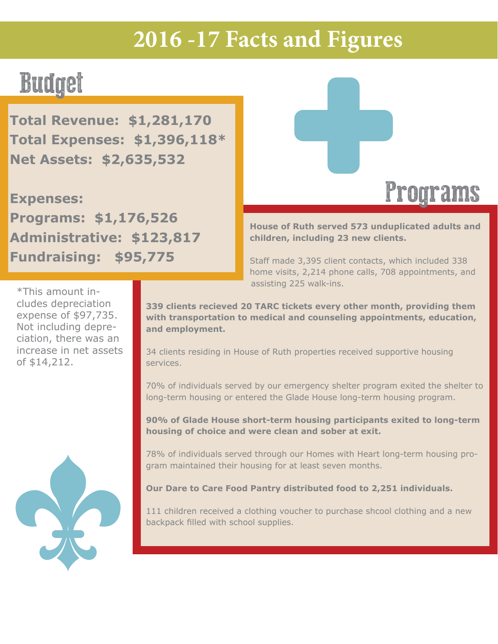### **2016 -17 Facts and Figures**

# Budget

**Total Revenue: \$1,281,170 Total Expenses: \$1,396,118\* Net Assets: \$2,635,532**

**Expenses: Programs: \$1,176,526 Administrative: \$123,817 Fundraising: \$95,775**



**House of Ruth served 573 unduplicated adults and children, including 23 new clients.** 

Staff made 3,395 client contacts, which included 338 home visits, 2,214 phone calls, 708 appointments, and assisting 225 walk-ins.

\*This amount includes depreciation expense of \$97,735. Not including depreciation, there was an increase in net assets of \$14,212.

**339 clients recieved 20 TARC tickets every other month, providing them with transportation to medical and counseling appointments, education, and employment.**

34 clients residing in House of Ruth properties received supportive housing services.

70% of individuals served by our emergency shelter program exited the shelter to long-term housing or entered the Glade House long-term housing program.

**90% of Glade House short-term housing participants exited to long-term housing of choice and were clean and sober at exit.**

78% of individuals served through our Homes with Heart long-term housing program maintained their housing for at least seven months.

### **Our Dare to Care Food Pantry distributed food to 2,251 individuals.**

111 children received a clothing voucher to purchase shcool clothing and a new backpack filled with school supplies.

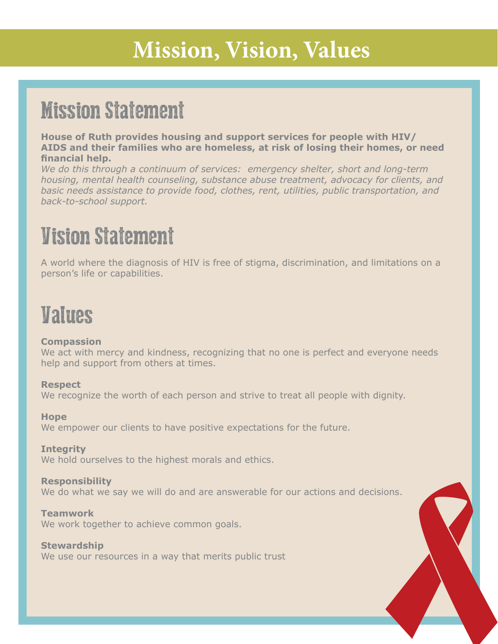## **Mission, Vision, Values**

## Mission Statement

**House of Ruth provides housing and support services for people with HIV/ AIDS and their families who are homeless, at risk of losing their homes, or need financial help.**

*We do this through a continuum of services: emergency shelter, short and long-term housing, mental health counseling, substance abuse treatment, advocacy for clients, and basic needs assistance to provide food, clothes, rent, utilities, public transportation, and back-to-school support.*

# Vision Statement

A world where the diagnosis of HIV is free of stigma, discrimination, and limitations on a person's life or capabilities.

# Values

### **Compassion**

We act with mercy and kindness, recognizing that no one is perfect and everyone needs help and support from others at times.

### **Respect**

We recognize the worth of each person and strive to treat all people with dignity.

**Hope** We empower our clients to have positive expectations for the future.

**Integrity** We hold ourselves to the highest morals and ethics.

### **Responsibility**

We do what we say we will do and are answerable for our actions and decisions.

### **Teamwork**

We work together to achieve common goals.

### **Stewardship**

We use our resources in a way that merits public trust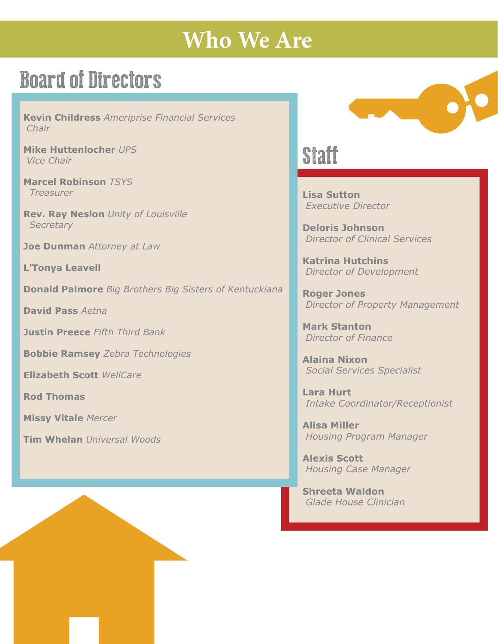### **Who We Are**

### Board of Directors

**Kevin Childress** *Ameriprise Financial Services Chair*

**Mike Huttenlocher** *UPS Vice Chair*

**Marcel Robinson** *TSYS Treasurer*

**Rev. Ray Neslon** *Unity of Louisville Secretary*

**Joe Dunman** *Attorney at Law*

**L'Tonya Leavell**

**Donald Palmore** *Big Brothers Big Sisters of Kentuckiana*

**David Pass** *Aetna*

**Justin Preece** *Fifth Third Bank*

**Bobbie Ramsey** *Zebra Technologies*

**Elizabeth Scott** *WellCare*

**Rod Thomas**

**Missy Vitale** *Mercer*

**Tim Whelan** *Universal Woods*

### **Staff**

**Lisa Sutton**  *Executive Director*

**Deloris Johnson** *Director of Clinical Services*

**Katrina Hutchins**  *Director of Development*

**Roger Jones** *Director of Property Management*

**Mark Stanton** *Director of Finance*

**Alaina Nixon**  *Social Services Specialist*

**Lara Hurt**  *Intake Coordinator/Receptionist*

**Alisa Miller**  *Housing Program Manager*

**Alexis Scott** *Housing Case Manager*

**Shreeta Waldon** *Glade House Clinician*

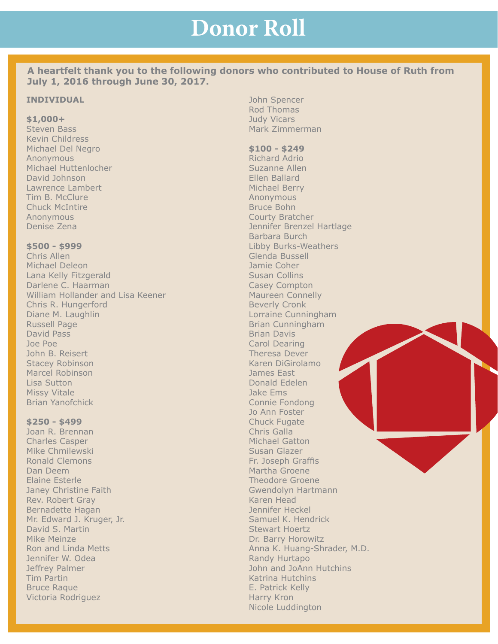### **A heartfelt thank you to the following donors who contributed to House of Ruth from July 1, 2016 through June 30, 2017.**

#### **INDIVIDUAL**

#### **\$1,000+**

Steven Bass Kevin Childress Michael Del Negro Anonymous Michael Huttenlocher David Johnson Lawrence Lambert Tim B. McClure Chuck McIntire Anonymous Denise Zena

#### **\$500 - \$999**

Chris Allen Michael Deleon Lana Kelly Fitzgerald Darlene C. Haarman William Hollander and Lisa Keener Chris R. Hungerford Diane M. Laughlin Russell Page David Pass Joe Poe John B. Reisert Stacey Robinson Marcel Robinson Lisa Sutton Missy Vitale Brian Yanofchick

#### **\$250 - \$499**

Joan R. Brennan Charles Casper Mike Chmilewski Ronald Clemons Dan Deem Elaine Esterle Janey Christine Faith Rev. Robert Gray Bernadette Hagan Mr. Edward J. Kruger, Jr. David S. Martin Mike Meinze Ron and Linda Metts Jennifer W. Odea Jeffrey Palmer Tim Partin Bruce Raque Victoria Rodriguez

John Spencer Rod Thomas Judy Vicars Mark Zimmerman

### **\$100 - \$249**

Richard Adrio Suzanne Allen Ellen Ballard Michael Berry Anonymous Bruce Bohn Courty Bratcher Jennifer Brenzel Hartlage Barbara Burch Libby Burks-Weathers Glenda Bussell Jamie Coher Susan Collins Casey Compton Maureen Connelly Beverly Cronk Lorraine Cunningham Brian Cunningham Brian Davis Carol Dearing Theresa Dever Karen DiGirolamo James East Donald Edelen Jake Ems Connie Fondong Jo Ann Foster Chuck Fugate Chris Galla Michael Gatton Susan Glazer Fr. Joseph Graffis Martha Groene Theodore Groene Gwendolyn Hartmann Karen Head Jennifer Heckel Samuel K. Hendrick Stewart Hoertz Dr. Barry Horowitz Anna K. Huang-Shrader, M.D. Randy Hurtapo John and JoAnn Hutchins Katrina Hutchins E. Patrick Kelly Harry Kron Nicole Luddington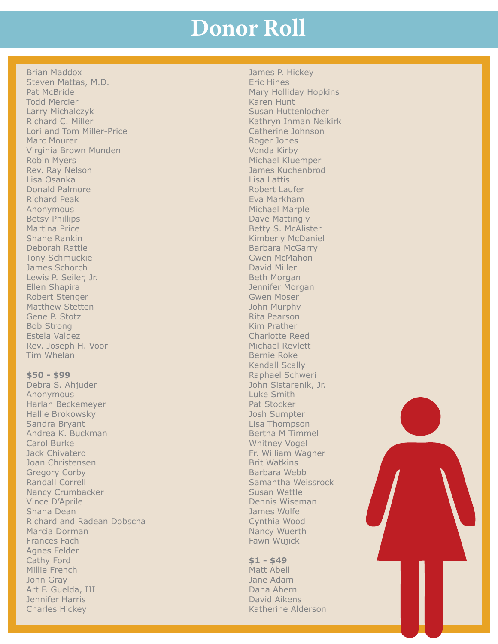Brian Maddox Steven Mattas, M.D. Pat McBride Todd Mercier Larry Michalczyk Richard C. Miller Lori and Tom Miller-Price Marc Mourer Virginia Brown Munden Robin Myers Rev. Ray Nelson Lisa Osanka Donald Palmore Richard Peak Anonymous Betsy Phillips Martina Price Shane Rankin Deborah Rattle Tony Schmuckie James Schorch Lewis P. Seiler, Jr. Ellen Shapira Robert Stenger Matthew Stetten Gene P. Stotz Bob Strong Estela Valdez Rev. Joseph H. Voor Tim Whelan

#### **\$50 - \$99**

Debra S. Ahjuder Anonymous Harlan Beckemeyer Hallie Brokowsky Sandra Bryant Andrea K. Buckman Carol Burke Jack Chivatero Joan Christensen Gregory Corby Randall Correll Nancy Crumbacker Vince D'Aprile Shana Dean Richard and Radean Dobscha Marcia Dorman Frances Fach Agnes Felder Cathy Ford Millie French John Gray Art F. Guelda, III Jennifer Harris Charles Hickey

James P. Hickey Eric Hines Mary Holliday Hopkins Karen Hunt Susan Huttenlocher Kathryn Inman Neikirk Catherine Johnson Roger Jones Vonda Kirby Michael Kluemper James Kuchenbrod Lisa Lattis Robert Laufer Eva Markham Michael Marple Dave Mattingly Betty S. McAlister Kimberly McDaniel Barbara McGarry Gwen McMahon David Miller Beth Morgan Jennifer Morgan Gwen Moser John Murphy Rita Pearson Kim Prather Charlotte Reed Michael Revlett Bernie Roke Kendall Scally Raphael Schweri John Sistarenik, Jr. Luke Smith Pat Stocker Josh Sumpter Lisa Thompson Bertha M Timmel Whitney Vogel Fr. William Wagner Brit Watkins Barbara Webb Samantha Weissrock Susan Wettle Dennis Wiseman James Wolfe Cynthia Wood Nancy Wuerth Fawn Wujick

### **\$1 - \$49**

Matt Abell Jane Adam Dana Ahern David Aikens Katherine Alderson

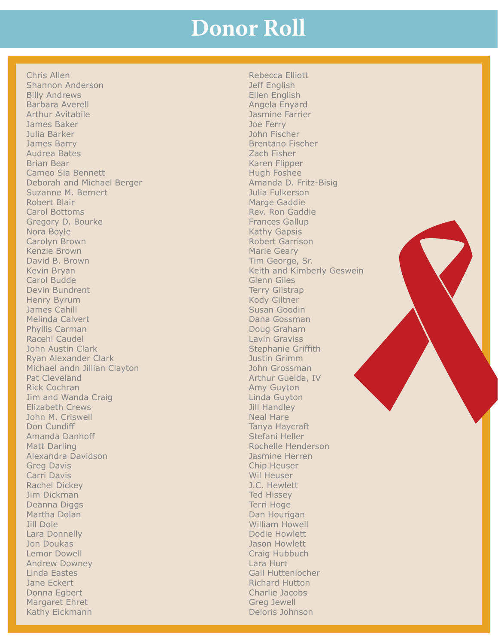Chris Allen Shannon Anderson Billy Andrews Barbara Averell Arthur Avitabile James Baker Julia Barker James Barry Audrea Bates Brian Bear Cameo Sia Bennett Deborah and Michael Berger Suzanne M. Bernert Robert Blair Carol Bottoms Gregory D. Bourke Nora Boyle Carolyn Brown Kenzie Brown David B. Brown Kevin Bryan Carol Budde Devin Bundrent Henry Byrum James Cahill Melinda Calvert Phyllis Carman Racehl Caudel John Austin Clark Ryan Alexander Clark Michael andn Jillian Clayton Pat Cleveland Rick Cochran Jim and Wanda Craig Elizabeth Crews John M. Criswell Don Cundiff Amanda Danhoff Matt Darling Alexandra Davidson Greg Davis Carri Davis Rachel Dickey Jim Dickman Deanna Diggs Martha Dolan Jill Dole Lara Donnelly Jon Doukas Lemor Dowell Andrew Downey Linda Eastes Jane Eckert Donna Egbert Margaret Ehret Kathy Eickmann

Rebecca Elliott Jeff English Ellen English Angela Enyard Jasmine Farrier Joe Ferry John Fischer Brentano Fischer Zach Fisher Karen Flipper Hugh Foshee Amanda D. Fritz-Bisig Julia Fulkerson Marge Gaddie Rev. Ron Gaddie Frances Gallup Kathy Gapsis Robert Garrison Marie Geary Tim George, Sr. Keith and Kimberly Geswein Glenn Giles Terry Gilstrap Kody Giltner Susan Goodin Dana Gossman Doug Graham Lavin Graviss Stephanie Griffith Justin Grimm John Grossman Arthur Guelda, IV Amy Guyton Linda Guyton Jill Handley Neal Hare Tanya Haycraft Stefani Heller Rochelle Henderson Jasmine Herren Chip Heuser Wil Heuser J.C. Hewlett Ted Hissey Terri Hoge Dan Hourigan William Howell Dodie Howlett Jason Howlett Craig Hubbuch Lara Hurt Gail Huttenlocher Richard Hutton Charlie Jacobs Greg Jewell Deloris Johnson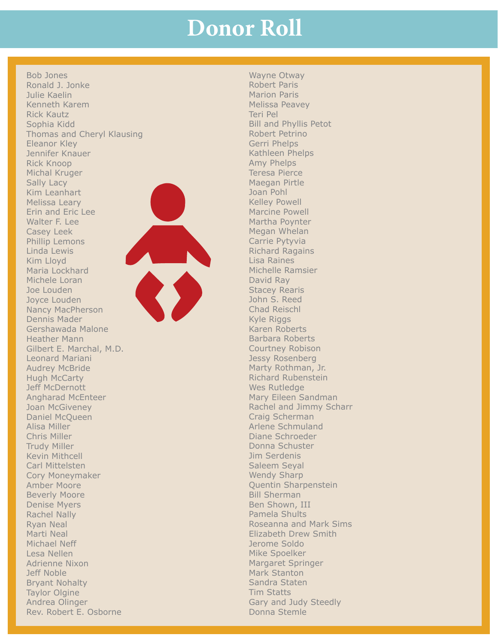Bob Jones Ronald J. Jonke Julie Kaelin Kenneth Karem Rick Kautz Sophia Kidd Thomas and Cheryl Klausing Eleanor Kley Jennifer Knauer Rick Knoop Michal Kruger Sally Lacy Kim Leanhart Melissa Leary Erin and Eric Lee Walter F. Lee Casey Leek Phillip Lemons Linda Lewis Kim Lloyd Maria Lockhard Michele Loran Joe Louden Joyce Louden Nancy MacPherson Dennis Mader Gershawada Malone Heather Mann Gilbert E. Marchal, M.D. Leonard Mariani Audrey McBride Hugh McCarty Jeff McDernott Angharad McEnteer Joan McGiveney Daniel McQueen Alisa Miller Chris Miller Trudy Miller Kevin Mithcell Carl Mittelsten Cory Moneymaker Amber Moore Beverly Moore Denise Myers Rachel Nally Ryan Neal Marti Neal Michael Neff Lesa Nellen Adrienne Nixon Jeff Noble Bryant Nohalty Taylor Olgine Andrea Olinger Rev. Robert E. Osborne



Wayne Otway Robert Paris Marion Paris Melissa Peavey Teri Pel Bill and Phyllis Petot Robert Petrino Gerri Phelps Kathleen Phelps Amy Phelps Teresa Pierce Maegan Pirtle Joan Pohl Kelley Powell Marcine Powell Martha Poynter Megan Whelan Carrie Pytyvia Richard Ragains Lisa Raines Michelle Ramsier David Ray Stacey Rearis John S. Reed Chad Reischl Kyle Riggs Karen Roberts Barbara Roberts Courtney Robison Jessy Rosenberg Marty Rothman, Jr. Richard Rubenstein Wes Rutledge Mary Eileen Sandman Rachel and Jimmy Scharr Craig Scherman Arlene Schmuland Diane Schroeder Donna Schuster Jim Serdenis Saleem Seyal Wendy Sharp Quentin Sharpenstein Bill Sherman Ben Shown, III Pamela Shults Roseanna and Mark Sims Elizabeth Drew Smith Jerome Soldo Mike Spoelker Margaret Springer Mark Stanton Sandra Staten Tim Statts Gary and Judy Steedly Donna Stemle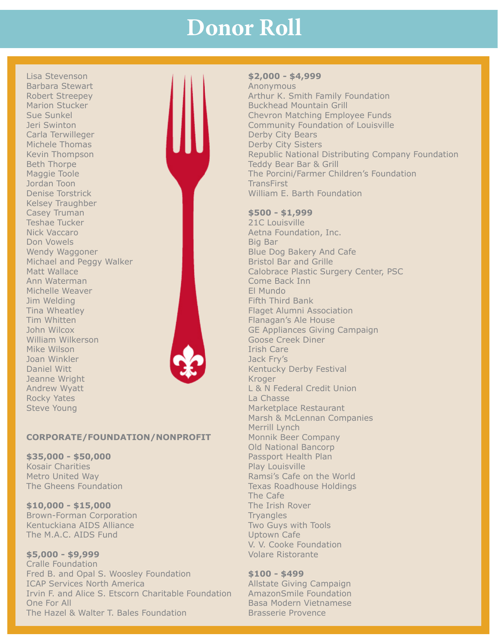Lisa Stevenson Barbara Stewart Robert Streepey Marion Stucker Sue Sunkel Jeri Swinton Carla Terwilleger Michele Thomas Kevin Thompson Beth Thorpe Maggie Toole Jordan Toon Denise Torstrick Kelsey Traughber Casey Truman Teshae Tucker Nick Vaccaro Don Vowels Wendy Waggoner Michael and Peggy Walker Matt Wallace Ann Waterman Michelle Weaver Jim Welding Tina Wheatley Tim Whitten John Wilcox William Wilkerson Mike Wilson Joan Winkler Daniel Witt Jeanne Wright Andrew Wyatt Rocky Yates Steve Young



#### **CORPORATE/FOUNDATION/NONPROFIT**

#### **\$35,000 - \$50,000** Kosair Charities Metro United Way The Gheens Foundation

**\$10,000 - \$15,000** Brown-Forman Corporation Kentuckiana AIDS Alliance The M.A.C. AIDS Fund

#### **\$5,000 - \$9,999** Cralle Foundation Fred B. and Opal S. Woosley Foundation ICAP Services North America Irvin F. and Alice S. Etscorn Charitable Foundation One For All The Hazel & Walter T. Bales Foundation

### **\$2,000 - \$4,999**

Anonymous Arthur K. Smith Family Foundation Buckhead Mountain Grill Chevron Matching Employee Funds Community Foundation of Louisville Derby City Bears Derby City Sisters Republic National Distributing Company Foundation Teddy Bear Bar & Grill The Porcini/Farmer Children's Foundation **TransFirst** William E. Barth Foundation

### **\$500 - \$1,999**

21C Louisville Aetna Foundation, Inc. Big Bar Blue Dog Bakery And Cafe Bristol Bar and Grille Calobrace Plastic Surgery Center, PSC Come Back Inn El Mundo Fifth Third Bank Flaget Alumni Association Flanagan's Ale House GE Appliances Giving Campaign Goose Creek Diner Irish Care Jack Fry's Kentucky Derby Festival Kroger L & N Federal Credit Union La Chasse Marketplace Restaurant Marsh & McLennan Companies Merrill Lynch Monnik Beer Company Old National Bancorp Passport Health Plan Play Louisville Ramsi's Cafe on the World Texas Roadhouse Holdings The Cafe The Irish Rover **Tryangles** Two Guys with Tools Uptown Cafe V. V. Cooke Foundation Volare Ristorante

#### **\$100 - \$499**

Allstate Giving Campaign AmazonSmile Foundation Basa Modern Vietnamese Brasserie Provence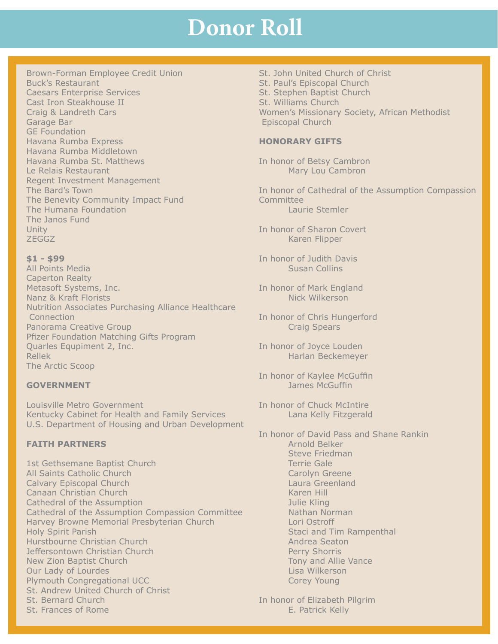Brown-Forman Employee Credit Union Buck's Restaurant Caesars Enterprise Services Cast Iron Steakhouse II Craig & Landreth Cars Garage Bar GE Foundation Havana Rumba Express Havana Rumba Middletown Havana Rumba St. Matthews Le Relais Restaurant Regent Investment Management The Bard's Town The Benevity Community Impact Fund The Humana Foundation The Janos Fund Unity ZEGGZ

**\$1 - \$99**

All Points Media Caperton Realty Metasoft Systems, Inc. Nanz & Kraft Florists Nutrition Associates Purchasing Alliance Healthcare Connection Panorama Creative Group Pfizer Foundation Matching Gifts Program Quarles Equpiment 2, Inc. Rellek The Arctic Scoop

#### **GOVERNMENT**

Louisville Metro Government Kentucky Cabinet for Health and Family Services U.S. Department of Housing and Urban Development

### **FAITH PARTNERS**

1st Gethsemane Baptist Church All Saints Catholic Church Calvary Episcopal Church Canaan Christian Church Cathedral of the Assumption Cathedral of the Assumption Compassion Committee Harvey Browne Memorial Presbyterian Church Holy Spirit Parish Hurstbourne Christian Church Jeffersontown Christian Church New Zion Baptist Church Our Lady of Lourdes Plymouth Congregational UCC St. Andrew United Church of Christ St. Bernard Church St. Frances of Rome

St. John United Church of Christ St. Paul's Episcopal Church St. Stephen Baptist Church St. Williams Church Women's Missionary Society, African Methodist Episcopal Church

#### **HONORARY GIFTS**

In honor of Betsy Cambron Mary Lou Cambron

In honor of Cathedral of the Assumption Compassion **Committee** Laurie Stemler

In honor of Sharon Covert Karen Flipper

In honor of Judith Davis Susan Collins

In honor of Mark England Nick Wilkerson

In honor of Chris Hungerford Craig Spears

In honor of Joyce Louden Harlan Beckemeyer

In honor of Kaylee McGuffin James McGuffin

In honor of Chuck McIntire Lana Kelly Fitzgerald

In honor of David Pass and Shane Rankin Arnold Belker Steve Friedman Terrie Gale Carolyn Greene Laura Greenland Karen Hill Julie Kling Nathan Norman Lori Ostroff Staci and Tim Rampenthal Andrea Seaton Perry Shorris Tony and Allie Vance Lisa Wilkerson Corey Young

In honor of Elizabeth Pilgrim E. Patrick Kelly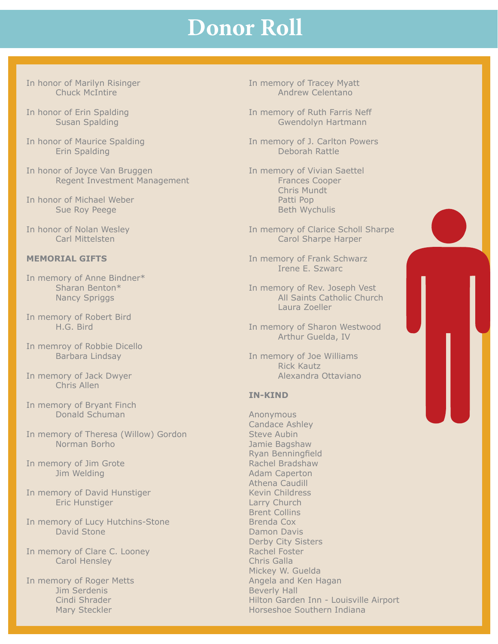In honor of Marilyn Risinger Chuck McIntire

In honor of Erin Spalding Susan Spalding

In honor of Maurice Spalding Erin Spalding

In honor of Joyce Van Bruggen Regent Investment Management

In honor of Michael Weber Sue Roy Peege

In honor of Nolan Wesley Carl Mittelsten

### **MEMORIAL GIFTS**

In memory of Anne Bindner\* Sharan Benton\* Nancy Spriggs

In memory of Robert Bird H.G. Bird

In memroy of Robbie Dicello Barbara Lindsay

In memory of Jack Dwyer Chris Allen

In memory of Bryant Finch Donald Schuman

In memory of Theresa (Willow) Gordon Norman Borho

In memory of Jim Grote Jim Welding

In memory of David Hunstiger Eric Hunstiger

In memory of Lucy Hutchins-Stone David Stone

In memory of Clare C. Looney Carol Hensley

In memory of Roger Metts Jim Serdenis Cindi Shrader Mary Steckler

In memory of Tracey Myatt Andrew Celentano

In memory of Ruth Farris Neff Gwendolyn Hartmann

In memory of J. Carlton Powers Deborah Rattle

In memory of Vivian Saettel Frances Cooper Chris Mundt Patti Pop Beth Wychulis

In memory of Clarice Scholl Sharpe Carol Sharpe Harper

In memory of Frank Schwarz Irene E. Szwarc

In memory of Rev. Joseph Vest All Saints Catholic Church Laura Zoeller

In memory of Sharon Westwood Arthur Guelda, IV

In memory of Joe Williams Rick Kautz Alexandra Ottaviano

#### **IN-KIND**

Anonymous Candace Ashley Steve Aubin Jamie Bagshaw Ryan Benningfield Rachel Bradshaw Adam Caperton Athena Caudill Kevin Childress Larry Church Brent Collins Brenda Cox Damon Davis Derby City Sisters Rachel Foster Chris Galla Mickey W. Guelda Angela and Ken Hagan Beverly Hall Hilton Garden Inn - Louisville Airport Horseshoe Southern Indiana